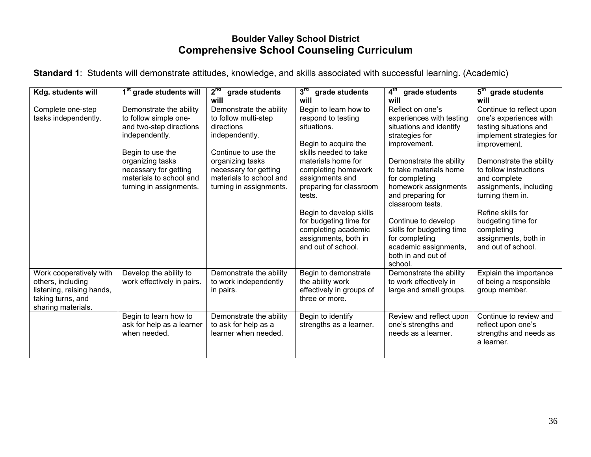## **Boulder Valley School District Comprehensive School Counseling Curriculum**

| Kdg. students will                                                                                                   | 1 <sup>st</sup> grade students will                                                                                                                                                                                  | 2 <sup>nd</sup><br>grade students<br>will                                                                                                                                                                 | 3 <sup>rd</sup><br>grade students<br>will                                                                                                                                                                                                                                                    | $4^{\text{th}}$<br>grade students<br>will                                                                                                                                                                                                                                                             | 5 <sup>th</sup> grade students<br>will                                                                                                                                                                                                                                                               |
|----------------------------------------------------------------------------------------------------------------------|----------------------------------------------------------------------------------------------------------------------------------------------------------------------------------------------------------------------|-----------------------------------------------------------------------------------------------------------------------------------------------------------------------------------------------------------|----------------------------------------------------------------------------------------------------------------------------------------------------------------------------------------------------------------------------------------------------------------------------------------------|-------------------------------------------------------------------------------------------------------------------------------------------------------------------------------------------------------------------------------------------------------------------------------------------------------|------------------------------------------------------------------------------------------------------------------------------------------------------------------------------------------------------------------------------------------------------------------------------------------------------|
| Complete one-step<br>tasks independently.                                                                            | Demonstrate the ability<br>to follow simple one-<br>and two-step directions<br>independently.<br>Begin to use the<br>organizing tasks<br>necessary for getting<br>materials to school and<br>turning in assignments. | Demonstrate the ability<br>to follow multi-step<br>directions<br>independently.<br>Continue to use the<br>organizing tasks<br>necessary for getting<br>materials to school and<br>turning in assignments. | Begin to learn how to<br>respond to testing<br>situations.<br>Begin to acquire the<br>skills needed to take<br>materials home for<br>completing homework<br>assignments and<br>preparing for classroom<br>tests.<br>Begin to develop skills<br>for budgeting time for<br>completing academic | Reflect on one's<br>experiences with testing<br>situations and identify<br>strategies for<br>improvement.<br>Demonstrate the ability<br>to take materials home<br>for completing<br>homework assignments<br>and preparing for<br>classroom tests.<br>Continue to develop<br>skills for budgeting time | Continue to reflect upon<br>one's experiences with<br>testing situations and<br>implement strategies for<br>improvement.<br>Demonstrate the ability<br>to follow instructions<br>and complete<br>assignments, including<br>turning them in.<br>Refine skills for<br>budgeting time for<br>completing |
|                                                                                                                      |                                                                                                                                                                                                                      |                                                                                                                                                                                                           | assignments, both in<br>and out of school.                                                                                                                                                                                                                                                   | for completing<br>academic assignments,<br>both in and out of<br>school.                                                                                                                                                                                                                              | assignments, both in<br>and out of school.                                                                                                                                                                                                                                                           |
| Work cooperatively with<br>others, including<br>listening, raising hands,<br>taking turns, and<br>sharing materials. | Develop the ability to<br>work effectively in pairs.                                                                                                                                                                 | Demonstrate the ability<br>to work independently<br>in pairs.                                                                                                                                             | Begin to demonstrate<br>the ability work<br>effectively in groups of<br>three or more.                                                                                                                                                                                                       | Demonstrate the ability<br>to work effectively in<br>large and small groups.                                                                                                                                                                                                                          | Explain the importance<br>of being a responsible<br>group member.                                                                                                                                                                                                                                    |
|                                                                                                                      | Begin to learn how to<br>ask for help as a learner<br>when needed.                                                                                                                                                   | Demonstrate the ability<br>to ask for help as a<br>learner when needed.                                                                                                                                   | Begin to identify<br>strengths as a learner.                                                                                                                                                                                                                                                 | Review and reflect upon<br>one's strengths and<br>needs as a learner.                                                                                                                                                                                                                                 | Continue to review and<br>reflect upon one's<br>strengths and needs as<br>a learner.                                                                                                                                                                                                                 |

**Standard 1**: Students will demonstrate attitudes, knowledge, and skills associated with successful learning. (Academic)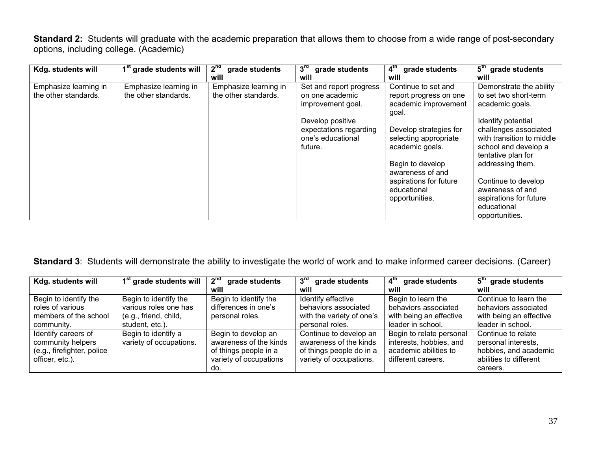**Standard 2:** Students will graduate with the academic preparation that allows them to choose from a wide range of post-secondary options, including college. (Academic)

| Kdg. students will    | 1 <sup>st</sup> grade students will | 2 <sup>nd</sup><br>grade students | 3 <sup>rd</sup><br>grade students | 4 <sup>th</sup><br>grade students | 5 <sup>th</sup><br>grade students |
|-----------------------|-------------------------------------|-----------------------------------|-----------------------------------|-----------------------------------|-----------------------------------|
|                       |                                     | will                              | will                              | will                              | will                              |
| Emphasize learning in | Emphasize learning in               | Emphasize learning in             | Set and report progress           | Continue to set and               | Demonstrate the ability           |
| the other standards.  | the other standards.                | the other standards.              | on one academic                   | report progress on one            | to set two short-term             |
|                       |                                     |                                   | improvement goal.                 | academic improvement              | academic goals.                   |
|                       |                                     |                                   |                                   | goal.                             |                                   |
|                       |                                     |                                   | Develop positive                  |                                   | Identify potential                |
|                       |                                     |                                   | expectations regarding            | Develop strategies for            | challenges associated             |
|                       |                                     |                                   | one's educational                 | selecting appropriate             | with transition to middle         |
|                       |                                     |                                   | future.                           | academic goals.                   | school and develop a              |
|                       |                                     |                                   |                                   |                                   | tentative plan for                |
|                       |                                     |                                   |                                   | Begin to develop                  | addressing them.                  |
|                       |                                     |                                   |                                   | awareness of and                  |                                   |
|                       |                                     |                                   |                                   | aspirations for future            | Continue to develop               |
|                       |                                     |                                   |                                   | educational                       | awareness of and                  |
|                       |                                     |                                   |                                   | opportunities.                    | aspirations for future            |
|                       |                                     |                                   |                                   |                                   | educational                       |
|                       |                                     |                                   |                                   |                                   | opportunities.                    |

**Standard 3**: Students will demonstrate the ability to investigate the world of work and to make informed career decisions. (Career)

| Kdg. students will         | 1 <sup>st</sup> grade students will | $2^{\text{nd}}$<br>grade students | $3^{\text{rd}}$<br>grade students | $4^{\text{th}}$<br>grade students | 5 <sup>th</sup> grade students |
|----------------------------|-------------------------------------|-----------------------------------|-----------------------------------|-----------------------------------|--------------------------------|
|                            |                                     | will                              | will                              | will                              | will                           |
| Begin to identify the      | Begin to identify the               | Begin to identify the             | Identify effective                | Begin to learn the                | Continue to learn the          |
| roles of various           | various roles one has               | differences in one's              | behaviors associated              | behaviors associated              | behaviors associated           |
| members of the school      | (e.g., friend, child,               | personal roles.                   | with the variety of one's         | with being an effective           | with being an effective        |
| community.                 | student, etc.).                     |                                   | personal roles.                   | leader in school.                 | leader in school.              |
| Identify careers of        | Begin to identify a                 | Begin to develop an               | Continue to develop an            | Begin to relate personal          | Continue to relate             |
| community helpers          | variety of occupations.             | awareness of the kinds            | awareness of the kinds            | interests, hobbies, and           | personal interests,            |
| (e.g., firefighter, police |                                     | of things people in a             | of things people do in a          | academic abilities to             | hobbies, and academic          |
| officer, etc.).            |                                     | variety of occupations            | variety of occupations.           | different careers.                | abilities to different         |
|                            |                                     | do.                               |                                   |                                   | careers.                       |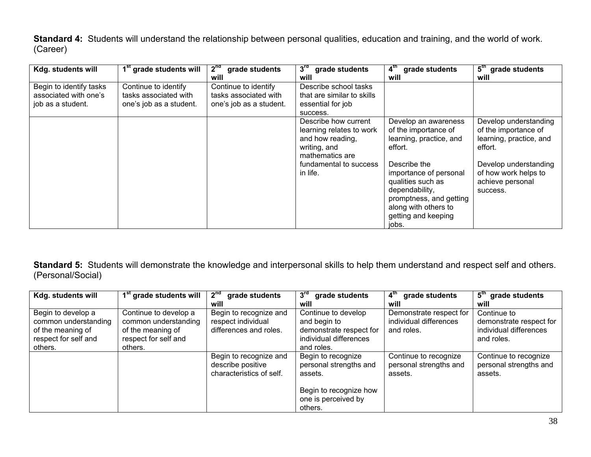**Standard 4:** Students will understand the relationship between personal qualities, education and training, and the world of work. (Career)

| Kdg. students will      | 1 <sup>st</sup> grade students will | 2 <sup>nd</sup><br>grade students | 3 <sup>rd</sup><br>grade students | 4 <sup>th</sup><br>grade students | 5 <sup>th</sup><br>grade students |
|-------------------------|-------------------------------------|-----------------------------------|-----------------------------------|-----------------------------------|-----------------------------------|
|                         |                                     | will                              | will                              | will                              | will                              |
| Begin to identify tasks | Continue to identify                | Continue to identify              | Describe school tasks             |                                   |                                   |
| associated with one's   | tasks associated with               | tasks associated with             | that are similar to skills        |                                   |                                   |
| job as a student.       | one's job as a student.             | one's job as a student.           | essential for job                 |                                   |                                   |
|                         |                                     |                                   | success.                          |                                   |                                   |
|                         |                                     |                                   | Describe how current              | Develop an awareness              | Develop understanding             |
|                         |                                     |                                   | learning relates to work          | of the importance of              | of the importance of              |
|                         |                                     |                                   | and how reading,                  | learning, practice, and           | learning, practice, and           |
|                         |                                     |                                   | writing, and                      | effort.                           | effort.                           |
|                         |                                     |                                   | mathematics are                   |                                   |                                   |
|                         |                                     |                                   | fundamental to success            | Describe the                      | Develop understanding             |
|                         |                                     |                                   | in life.                          | importance of personal            | of how work helps to              |
|                         |                                     |                                   |                                   | qualities such as                 | achieve personal                  |
|                         |                                     |                                   |                                   | dependability,                    | success.                          |
|                         |                                     |                                   |                                   | promptness, and getting           |                                   |
|                         |                                     |                                   |                                   | along with others to              |                                   |
|                         |                                     |                                   |                                   | getting and keeping               |                                   |
|                         |                                     |                                   |                                   | jobs.                             |                                   |

**Standard 5:** Students will demonstrate the knowledge and interpersonal skills to help them understand and respect self and others. (Personal/Social)

| Kdg. students will                                                                                 | 1 <sup>st</sup> grade students will                                                                   | 2 <sup>nd</sup><br>grade students                                       | 3 <sup>rd</sup><br>grade students                                                                        | 4 <sup>tn</sup><br>grade students                               | $5^{\text{th}}$<br>grade students                                              |
|----------------------------------------------------------------------------------------------------|-------------------------------------------------------------------------------------------------------|-------------------------------------------------------------------------|----------------------------------------------------------------------------------------------------------|-----------------------------------------------------------------|--------------------------------------------------------------------------------|
|                                                                                                    |                                                                                                       | will                                                                    | will                                                                                                     | will                                                            | will                                                                           |
| Begin to develop a<br>common understanding<br>of the meaning of<br>respect for self and<br>others. | Continue to develop a<br>common understanding<br>of the meaning of<br>respect for self and<br>others. | Begin to recognize and<br>respect individual<br>differences and roles.  | Continue to develop<br>and begin to<br>demonstrate respect for<br>individual differences<br>and roles.   | Demonstrate respect for<br>individual differences<br>and roles. | Continue to<br>demonstrate respect for<br>individual differences<br>and roles. |
|                                                                                                    |                                                                                                       | Begin to recognize and<br>describe positive<br>characteristics of self. | Begin to recognize<br>personal strengths and<br>assets.<br>Begin to recognize how<br>one is perceived by | Continue to recognize<br>personal strengths and<br>assets.      | Continue to recognize<br>personal strengths and<br>assets.                     |
|                                                                                                    |                                                                                                       |                                                                         | others.                                                                                                  |                                                                 |                                                                                |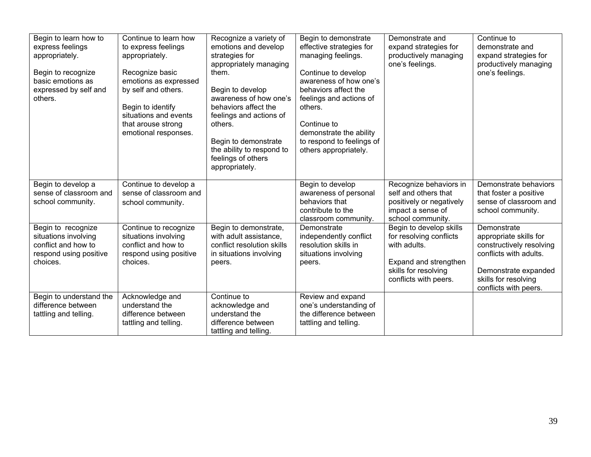| Begin to learn how to<br>express feelings<br>appropriately.<br>Begin to recognize<br>basic emotions as<br>expressed by self and<br>others. | Continue to learn how<br>to express feelings<br>appropriately.<br>Recognize basic<br>emotions as expressed<br>by self and others.<br>Begin to identify<br>situations and events<br>that arouse strong<br>emotional responses. | Recognize a variety of<br>emotions and develop<br>strategies for<br>appropriately managing<br>them.<br>Begin to develop<br>awareness of how one's<br>behaviors affect the<br>feelings and actions of<br>others.<br>Begin to demonstrate<br>the ability to respond to<br>feelings of others<br>appropriately. | Begin to demonstrate<br>effective strategies for<br>managing feelings.<br>Continue to develop<br>awareness of how one's<br>behaviors affect the<br>feelings and actions of<br>others.<br>Continue to<br>demonstrate the ability<br>to respond to feelings of<br>others appropriately. | Demonstrate and<br>expand strategies for<br>productively managing<br>one's feelings.                                                         | Continue to<br>demonstrate and<br>expand strategies for<br>productively managing<br>one's feelings.                                                                  |
|--------------------------------------------------------------------------------------------------------------------------------------------|-------------------------------------------------------------------------------------------------------------------------------------------------------------------------------------------------------------------------------|--------------------------------------------------------------------------------------------------------------------------------------------------------------------------------------------------------------------------------------------------------------------------------------------------------------|---------------------------------------------------------------------------------------------------------------------------------------------------------------------------------------------------------------------------------------------------------------------------------------|----------------------------------------------------------------------------------------------------------------------------------------------|----------------------------------------------------------------------------------------------------------------------------------------------------------------------|
| Begin to develop a<br>sense of classroom and<br>school community.                                                                          | Continue to develop a<br>sense of classroom and<br>school community.                                                                                                                                                          |                                                                                                                                                                                                                                                                                                              | Begin to develop<br>awareness of personal<br>behaviors that<br>contribute to the<br>classroom community.                                                                                                                                                                              | Recognize behaviors in<br>self and others that<br>positively or negatively<br>impact a sense of<br>school community.                         | Demonstrate behaviors<br>that foster a positive<br>sense of classroom and<br>school community.                                                                       |
| Begin to recognize<br>situations involving<br>conflict and how to<br>respond using positive<br>choices.                                    | Continue to recognize<br>situations involving<br>conflict and how to<br>respond using positive<br>choices.                                                                                                                    | Begin to demonstrate,<br>with adult assistance,<br>conflict resolution skills<br>in situations involving<br>peers.                                                                                                                                                                                           | Demonstrate<br>independently conflict<br>resolution skills in<br>situations involving<br>peers.                                                                                                                                                                                       | Begin to develop skills<br>for resolving conflicts<br>with adults.<br>Expand and strengthen<br>skills for resolving<br>conflicts with peers. | Demonstrate<br>appropriate skills for<br>constructively resolving<br>conflicts with adults.<br>Demonstrate expanded<br>skills for resolving<br>conflicts with peers. |
| Begin to understand the<br>difference between<br>tattling and telling.                                                                     | Acknowledge and<br>understand the<br>difference between<br>tattling and telling.                                                                                                                                              | Continue to<br>acknowledge and<br>understand the<br>difference between<br>tattling and telling.                                                                                                                                                                                                              | Review and expand<br>one's understanding of<br>the difference between<br>tattling and telling.                                                                                                                                                                                        |                                                                                                                                              |                                                                                                                                                                      |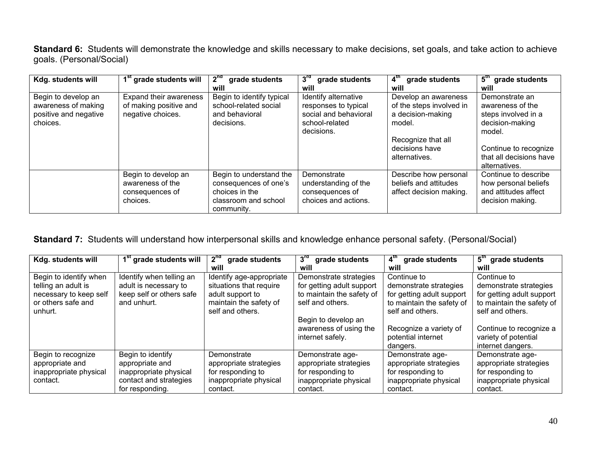**Standard 6:** Students will demonstrate the knowledge and skills necessary to make decisions, set goals, and take action to achieve goals. (Personal/Social)

| Kdg. students will                                                              | 1 <sup>st</sup> grade students will                                    | 2 <sup>nd</sup><br>grade students                                                                        | $3^{\mathsf{ra}}$<br>grade students                                                                   | 4 <sup>tn</sup><br>grade students                                                                                                        | $5^{\rm m}$<br>grade students                                                                                                                               |
|---------------------------------------------------------------------------------|------------------------------------------------------------------------|----------------------------------------------------------------------------------------------------------|-------------------------------------------------------------------------------------------------------|------------------------------------------------------------------------------------------------------------------------------------------|-------------------------------------------------------------------------------------------------------------------------------------------------------------|
|                                                                                 |                                                                        | will                                                                                                     | will                                                                                                  | will                                                                                                                                     | will                                                                                                                                                        |
| Begin to develop an<br>awareness of making<br>positive and negative<br>choices. | Expand their awareness<br>of making positive and<br>negative choices.  | Begin to identify typical<br>school-related social<br>and behavioral<br>decisions.                       | Identify alternative<br>responses to typical<br>social and behavioral<br>school-related<br>decisions. | Develop an awareness<br>of the steps involved in<br>a decision-making<br>model.<br>Recognize that all<br>decisions have<br>alternatives. | Demonstrate an<br>awareness of the<br>steps involved in a<br>decision-making<br>model.<br>Continue to recognize<br>that all decisions have<br>alternatives. |
|                                                                                 | Begin to develop an<br>awareness of the<br>consequences of<br>choices. | Begin to understand the<br>consequences of one's<br>choices in the<br>classroom and school<br>community. | Demonstrate<br>understanding of the<br>consequences of<br>choices and actions.                        | Describe how personal<br>beliefs and attitudes<br>affect decision making.                                                                | Continue to describe<br>how personal beliefs<br>and attitudes affect<br>decision making.                                                                    |

## **Standard 7:** Students will understand how interpersonal skills and knowledge enhance personal safety. (Personal/Social)

| Kdg. students will     | 1 <sup>st</sup> grade students will | 2 <sup>nd</sup><br>grade students | $3^{\text{rd}}$<br>grade students | 4 <sup>th</sup><br>grade students | 5 <sup>tn</sup><br>grade students |
|------------------------|-------------------------------------|-----------------------------------|-----------------------------------|-----------------------------------|-----------------------------------|
|                        |                                     | will                              | will                              | will                              | will                              |
| Begin to identify when | Identify when telling an            | Identify age-appropriate          | Demonstrate strategies            | Continue to                       | Continue to                       |
| telling an adult is    | adult is necessary to               | situations that require           | for getting adult support         | demonstrate strategies            | demonstrate strategies            |
| necessary to keep self | keep self or others safe            | adult support to                  | to maintain the safety of         | for getting adult support         | for getting adult support         |
| or others safe and     | and unhurt.                         | maintain the safety of            | self and others.                  | to maintain the safety of         | to maintain the safety of         |
| unhurt.                |                                     | self and others.                  |                                   | self and others.                  | self and others.                  |
|                        |                                     |                                   | Begin to develop an               |                                   |                                   |
|                        |                                     |                                   | awareness of using the            | Recognize a variety of            | Continue to recognize a           |
|                        |                                     |                                   | internet safely.                  | potential internet                | variety of potential              |
|                        |                                     |                                   |                                   | dangers.                          | internet dangers.                 |
| Begin to recognize     | Begin to identify                   | Demonstrate                       | Demonstrate age-                  | Demonstrate age-                  | Demonstrate age-                  |
| appropriate and        | appropriate and                     | appropriate strategies            | appropriate strategies            | appropriate strategies            | appropriate strategies            |
| inappropriate physical | inappropriate physical              | for responding to                 | for responding to                 | for responding to                 | for responding to                 |
| contact.               | contact and strategies              | inappropriate physical            | inappropriate physical            | inappropriate physical            | inappropriate physical            |
|                        | for responding.                     | contact.                          | contact.                          | contact.                          | contact.                          |